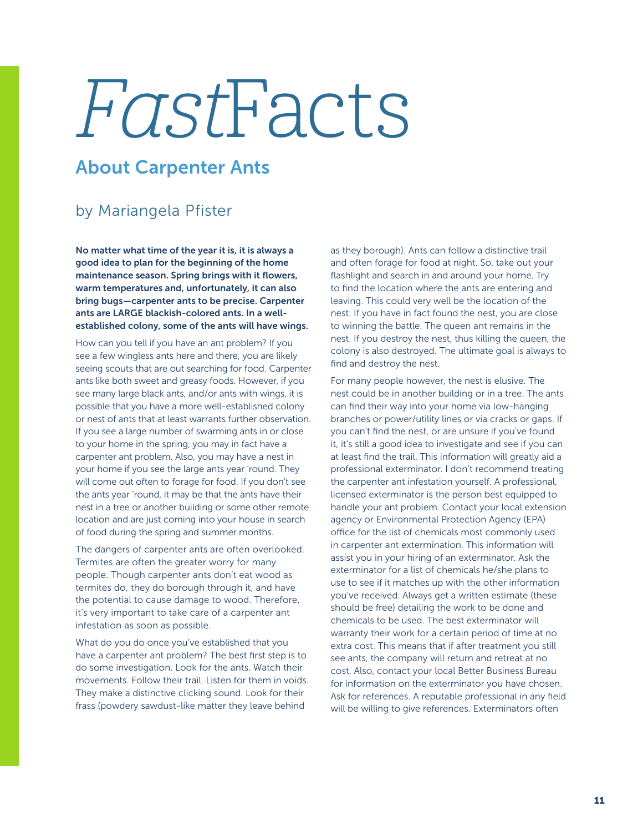## FastFacts

## About Carpenter Ants

## by Mariangela Pfister

No matter what time of the year it is, it is always a good idea to plan for the beginning of the home maintenance season. Spring brings with it flowers, warm temperatures and, unfortunately, it can also bring bugs—carpenter ants to be precise. Carpenter ants are LARGE blackish-colored ants. In a wellestablished colony, some of the ants will have wings.

How can you tell if you have an ant problem? If you see a few wingless ants here and there, you are likely seeing scouts that are out searching for food. Carpenter ants like both sweet and greasy foods. However, if you see many large black ants, and/or ants with wings, it is possible that you have a more well-established colony or nest of ants that at least warrants further observation. If you see a large number of swarming ants in or close to your home in the spring, you may in fact have a carpenter ant problem. Also, you may have a nest in your home if you see the large ants year 'round. They will come out often to forage for food. If you don't see the ants year 'round, it may be that the ants have their nest in a tree or another building or some other remote location and are just coming into your house in search of food during the spring and summer months.

The dangers of carpenter ants are often overlooked. Termites are often the greater worry for many people. Though carpenter ants don't eat wood as termites do, they do borough through it, and have the potential to cause damage to wood. Therefore, it's very important to take care of a carpenter ant infestation as soon as possible.

What do you do once you've established that you have a carpenter ant problem? The best first step is to do some investigation. Look for the ants. Watch their movements. Follow their trail. Listen for them in voids. They make a distinctive clicking sound. Look for their frass (powdery sawdust-like matter they leave behind

as they borough). Ants can follow a distinctive trail and often forage for food at night. So, take out your flashlight and search in and around your home. Try to find the location where the ants are entering and leaving. This could very well be the location of the nest. If you have in fact found the nest, you are close to winning the battle. The queen ant remains in the nest. If you destroy the nest, thus killing the queen, the colony is also destroyed. The ultimate goal is always to find and destroy the nest.

For many people however, the nest is elusive. The nest could be in another building or in a tree. The ants can find their way into your home via low-hanging branches or power/utility lines or via cracks or gaps. If you can't find the nest, or are unsure if you've found it, it's still a good idea to investigate and see if you can at least find the trail. This information will greatly aid a professional exterminator. I don't recommend treating the carpenter ant infestation yourself. A professional, licensed exterminator is the person best equipped to handle your ant problem. Contact your local extension agency or Environmental Protection Agency (EPA) office for the list of chemicals most commonly used in carpenter ant extermination. This information will assist you in your hiring of an exterminator. Ask the exterminator for a list of chemicals he/she plans to use to see if it matches up with the other information you've received. Always get a written estimate (these should be free) detailing the work to be done and chemicals to be used. The best exterminator will warranty their work for a certain period of time at no extra cost. This means that if after treatment you still see ants, the company will return and retreat at no cost. Also, contact your local Better Business Bureau for information on the exterminator you have chosen. Ask for references. A reputable professional in any field will be willing to give references. Exterminators often